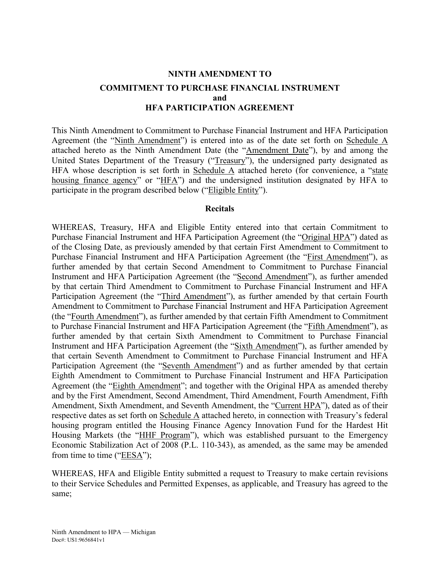### **NINTH AMENDMENT TO**

## **COMMITMENT TO PURCHASE FINANCIAL INSTRUMENT and HFA PARTICIPATION AGREEMENT**

This Ninth Amendment to Commitment to Purchase Financial Instrument and HFA Participation Agreement (the "Ninth Amendment") is entered into as of the date set forth on Schedule A attached hereto as the Ninth Amendment Date (the "Amendment Date"), by and among the United States Department of the Treasury ("Treasury"), the undersigned party designated as HFA whose description is set forth in Schedule A attached hereto (for convenience, a "state housing finance agency" or "HFA") and the undersigned institution designated by HFA to participate in the program described below ("Eligible Entity").

#### **Recitals**

WHEREAS, Treasury, HFA and Eligible Entity entered into that certain Commitment to Purchase Financial Instrument and HFA Participation Agreement (the "Original HPA") dated as of the Closing Date, as previously amended by that certain First Amendment to Commitment to Purchase Financial Instrument and HFA Participation Agreement (the "First Amendment"), as further amended by that certain Second Amendment to Commitment to Purchase Financial Instrument and HFA Participation Agreement (the "Second Amendment"), as further amended by that certain Third Amendment to Commitment to Purchase Financial Instrument and HFA Participation Agreement (the "Third Amendment"), as further amended by that certain Fourth Amendment to Commitment to Purchase Financial Instrument and HFA Participation Agreement (the "Fourth Amendment"), as further amended by that certain Fifth Amendment to Commitment to Purchase Financial Instrument and HFA Participation Agreement (the "Fifth Amendment"), as further amended by that certain Sixth Amendment to Commitment to Purchase Financial Instrument and HFA Participation Agreement (the "Sixth Amendment"), as further amended by that certain Seventh Amendment to Commitment to Purchase Financial Instrument and HFA Participation Agreement (the "Seventh Amendment") and as further amended by that certain Eighth Amendment to Commitment to Purchase Financial Instrument and HFA Participation Agreement (the "Eighth Amendment"; and together with the Original HPA as amended thereby and by the First Amendment, Second Amendment, Third Amendment, Fourth Amendment, Fifth Amendment, Sixth Amendment, and Seventh Amendment, the "Current HPA"), dated as of their respective dates as set forth on Schedule A attached hereto, in connection with Treasury's federal housing program entitled the Housing Finance Agency Innovation Fund for the Hardest Hit Housing Markets (the "HHF Program"), which was established pursuant to the Emergency Economic Stabilization Act of 2008 (P.L. 110-343), as amended, as the same may be amended from time to time (" $EESA$ ");

WHEREAS, HFA and Eligible Entity submitted a request to Treasury to make certain revisions to their Service Schedules and Permitted Expenses, as applicable, and Treasury has agreed to the same;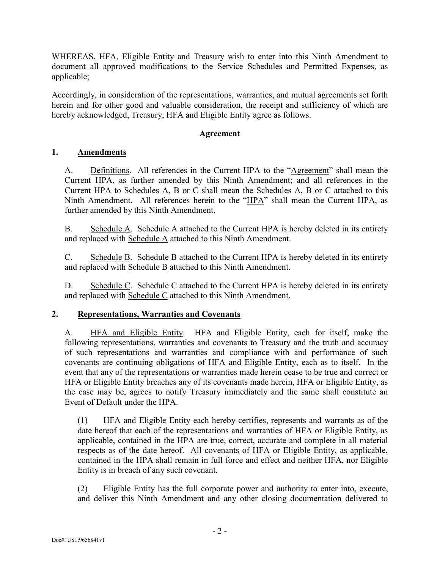WHEREAS, HFA, Eligible Entity and Treasury wish to enter into this Ninth Amendment to document all approved modifications to the Service Schedules and Permitted Expenses, as applicable;

Accordingly, in consideration of the representations, warranties, and mutual agreements set forth herein and for other good and valuable consideration, the receipt and sufficiency of which are hereby acknowledged, Treasury, HFA and Eligible Entity agree as follows.

## **Agreement**

# **1. Amendments**

A. Definitions. All references in the Current HPA to the "Agreement" shall mean the Current HPA, as further amended by this Ninth Amendment; and all references in the Current HPA to Schedules A, B or C shall mean the Schedules A, B or C attached to this Ninth Amendment. All references herein to the "HPA" shall mean the Current HPA, as further amended by this Ninth Amendment.

B. Schedule A. Schedule A attached to the Current HPA is hereby deleted in its entirety and replaced with Schedule A attached to this Ninth Amendment.

C. Schedule B. Schedule B attached to the Current HPA is hereby deleted in its entirety and replaced with Schedule B attached to this Ninth Amendment.

D. Schedule C. Schedule C attached to the Current HPA is hereby deleted in its entirety and replaced with Schedule C attached to this Ninth Amendment.

# **2. Representations, Warranties and Covenants**

A. HFA and Eligible Entity. HFA and Eligible Entity, each for itself, make the following representations, warranties and covenants to Treasury and the truth and accuracy of such representations and warranties and compliance with and performance of such covenants are continuing obligations of HFA and Eligible Entity, each as to itself. In the event that any of the representations or warranties made herein cease to be true and correct or HFA or Eligible Entity breaches any of its covenants made herein, HFA or Eligible Entity, as the case may be, agrees to notify Treasury immediately and the same shall constitute an Event of Default under the HPA.

(1) HFA and Eligible Entity each hereby certifies, represents and warrants as of the date hereof that each of the representations and warranties of HFA or Eligible Entity, as applicable, contained in the HPA are true, correct, accurate and complete in all material respects as of the date hereof. All covenants of HFA or Eligible Entity, as applicable, contained in the HPA shall remain in full force and effect and neither HFA, nor Eligible Entity is in breach of any such covenant.

(2) Eligible Entity has the full corporate power and authority to enter into, execute, and deliver this Ninth Amendment and any other closing documentation delivered to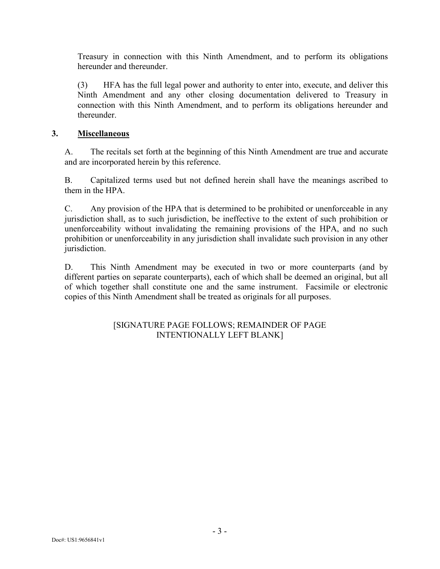Treasury in connection with this Ninth Amendment, and to perform its obligations hereunder and thereunder

(3) HFA has the full legal power and authority to enter into, execute, and deliver this Ninth Amendment and any other closing documentation delivered to Treasury in connection with this Ninth Amendment, and to perform its obligations hereunder and thereunder.

## **3. Miscellaneous**

A. The recitals set forth at the beginning of this Ninth Amendment are true and accurate and are incorporated herein by this reference.

B. Capitalized terms used but not defined herein shall have the meanings ascribed to them in the HPA.

C. Any provision of the HPA that is determined to be prohibited or unenforceable in any jurisdiction shall, as to such jurisdiction, be ineffective to the extent of such prohibition or unenforceability without invalidating the remaining provisions of the HPA, and no such prohibition or unenforceability in any jurisdiction shall invalidate such provision in any other jurisdiction.

D. This Ninth Amendment may be executed in two or more counterparts (and by different parties on separate counterparts), each of which shall be deemed an original, but all of which together shall constitute one and the same instrument. Facsimile or electronic copies of this Ninth Amendment shall be treated as originals for all purposes.

## [SIGNATURE PAGE FOLLOWS; REMAINDER OF PAGE INTENTIONALLY LEFT BLANK]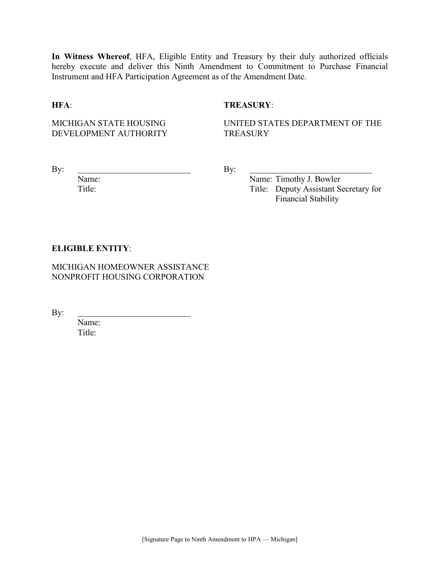**In Witness Whereof**, HFA, Eligible Entity and Treasury by their duly authorized officials hereby execute and deliver this Ninth Amendment to Commitment to Purchase Financial Instrument and HFA Participation Agreement as of the Amendment Date.

### **HFA**: **TREASURY**:

MICHIGAN STATE HOUSING DEVELOPMENT AUTHORITY UNITED STATES DEPARTMENT OF THE **TREASURY** 

By:  $\qquad \qquad \qquad \qquad \qquad \qquad \qquad \qquad \qquad \qquad \qquad \text{By:}$ 

Name: Name: Timothy J. Bowler Title: Title: Deputy Assistant Secretary for Financial Stability

#### **ELIGIBLE ENTITY**:

MICHIGAN HOMEOWNER ASSISTANCE NONPROFIT HOUSING CORPORATION

By:

Name: Title: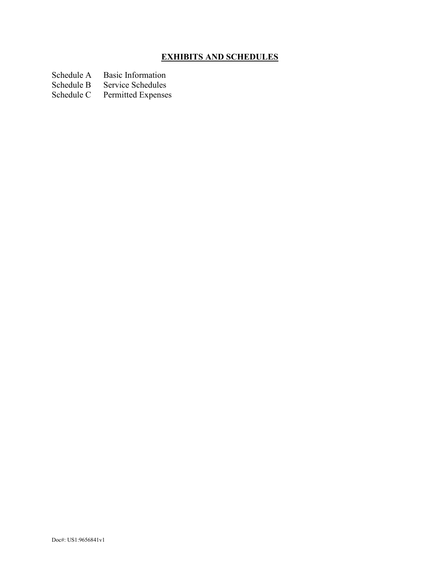# **EXHIBITS AND SCHEDULES**

Schedule A Basic Information<br>Schedule B Service Schedules

Schedule B Service Schedules<br>Schedule C Permitted Expense

Permitted Expenses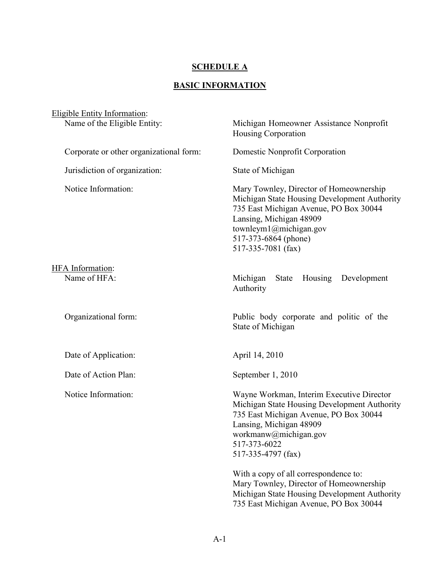# **SCHEDULE A**

# **BASIC INFORMATION**

| <b>Eligible Entity Information:</b>     |                                                                                                                                                                                                                                          |
|-----------------------------------------|------------------------------------------------------------------------------------------------------------------------------------------------------------------------------------------------------------------------------------------|
| Name of the Eligible Entity:            | Michigan Homeowner Assistance Nonprofit<br><b>Housing Corporation</b>                                                                                                                                                                    |
| Corporate or other organizational form: | Domestic Nonprofit Corporation                                                                                                                                                                                                           |
| Jurisdiction of organization:           | State of Michigan                                                                                                                                                                                                                        |
| Notice Information:                     | Mary Townley, Director of Homeownership<br>Michigan State Housing Development Authority<br>735 East Michigan Avenue, PO Box 30044<br>Lansing, Michigan 48909<br>townleym $1$ @michigan.gov<br>517-373-6864 (phone)<br>517-335-7081 (fax) |
| HFA Information:<br>Name of HFA:        | Michigan<br>Housing<br>Development<br>State<br>Authority                                                                                                                                                                                 |
| Organizational form:                    | Public body corporate and politic of the<br>State of Michigan                                                                                                                                                                            |
| Date of Application:                    | April 14, 2010                                                                                                                                                                                                                           |
| Date of Action Plan:                    | September 1, 2010                                                                                                                                                                                                                        |
| Notice Information:                     | Wayne Workman, Interim Executive Director<br>Michigan State Housing Development Authority<br>735 East Michigan Avenue, PO Box 30044<br>Lansing, Michigan 48909<br>workmanw@michigan.gov<br>517-373-6022<br>517-335-4797 (fax)            |
|                                         | With a copy of all correspondence to:<br>Mary Townley, Director of Homeownership<br>Michigan State Housing Development Authority<br>735 East Michigan Avenue, PO Box 30044                                                               |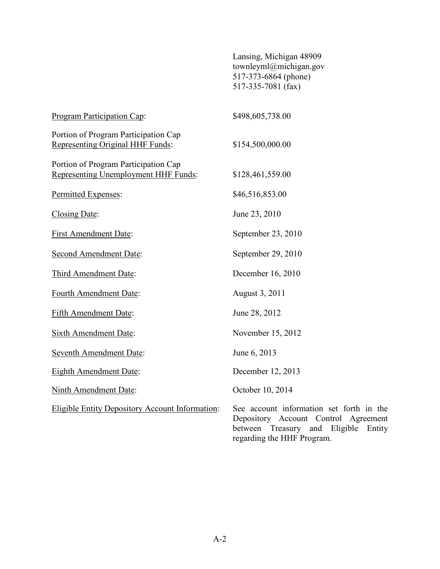|                                                                                     | Lansing, Michigan 48909<br>townleyml@michigan.gov<br>517-373-6864 (phone)<br>517-335-7081 (fax)                                                        |
|-------------------------------------------------------------------------------------|--------------------------------------------------------------------------------------------------------------------------------------------------------|
| Program Participation Cap:                                                          | \$498,605,738.00                                                                                                                                       |
| Portion of Program Participation Cap<br>Representing Original HHF Funds:            | \$154,500,000.00                                                                                                                                       |
| Portion of Program Participation Cap<br><b>Representing Unemployment HHF Funds:</b> | \$128,461,559.00                                                                                                                                       |
| Permitted Expenses:                                                                 | \$46,516,853.00                                                                                                                                        |
| Closing Date:                                                                       | June 23, 2010                                                                                                                                          |
| <b>First Amendment Date:</b>                                                        | September 23, 2010                                                                                                                                     |
| <b>Second Amendment Date:</b>                                                       | September 29, 2010                                                                                                                                     |
| Third Amendment Date:                                                               | December 16, 2010                                                                                                                                      |
| Fourth Amendment Date:                                                              | August 3, 2011                                                                                                                                         |
| <b>Fifth Amendment Date:</b>                                                        | June 28, 2012                                                                                                                                          |
| Sixth Amendment Date:                                                               | November 15, 2012                                                                                                                                      |
| <b>Seventh Amendment Date:</b>                                                      | June 6, 2013                                                                                                                                           |
| <b>Eighth Amendment Date:</b>                                                       | December 12, 2013                                                                                                                                      |
| <b>Ninth Amendment Date:</b>                                                        | October 10, 2014                                                                                                                                       |
| <b>Eligible Entity Depository Account Information:</b>                              | See account information set forth in the<br>Depository Account Control Agreement<br>between Treasury and Eligible Entity<br>regarding the HHF Program. |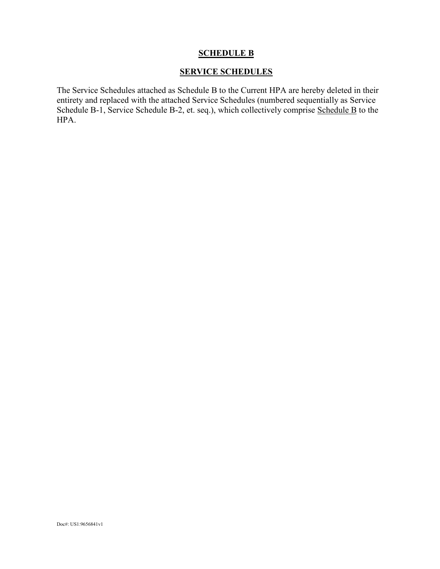## **SCHEDULE B**

## **SERVICE SCHEDULES**

The Service Schedules attached as Schedule B to the Current HPA are hereby deleted in their entirety and replaced with the attached Service Schedules (numbered sequentially as Service Schedule B-1, Service Schedule B-2, et. seq.), which collectively comprise Schedule B to the HPA.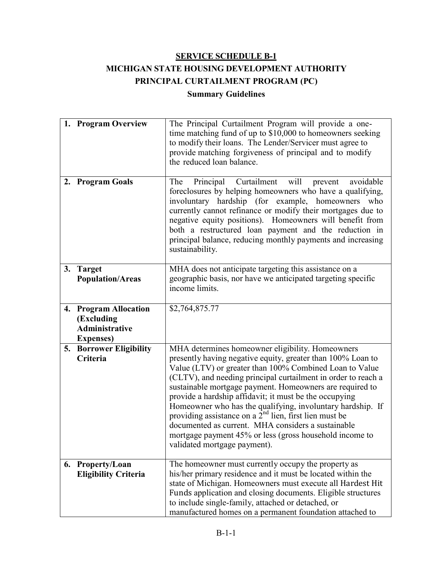# **SERVICE SCHEDULE B-1 MICHIGAN STATE HOUSING DEVELOPMENT AUTHORITY PRINCIPAL CURTAILMENT PROGRAM (PC) Summary Guidelines**

|    | 1. Program Overview                                                                   | The Principal Curtailment Program will provide a one-<br>time matching fund of up to \$10,000 to homeowners seeking<br>to modify their loans. The Lender/Servicer must agree to<br>provide matching forgiveness of principal and to modify<br>the reduced loan balance.                                                                                                                                                                                                                                                                                                                                                                      |
|----|---------------------------------------------------------------------------------------|----------------------------------------------------------------------------------------------------------------------------------------------------------------------------------------------------------------------------------------------------------------------------------------------------------------------------------------------------------------------------------------------------------------------------------------------------------------------------------------------------------------------------------------------------------------------------------------------------------------------------------------------|
|    | 2. Program Goals                                                                      | Principal Curtailment<br>will<br>The<br>avoidable<br>prevent<br>foreclosures by helping homeowners who have a qualifying,<br>involuntary hardship (for example, homeowners<br>who<br>currently cannot refinance or modify their mortgages due to<br>negative equity positions). Homeowners will benefit from<br>both a restructured loan payment and the reduction in<br>principal balance, reducing monthly payments and increasing<br>sustainability.                                                                                                                                                                                      |
|    | 3. Target<br><b>Population/Areas</b>                                                  | MHA does not anticipate targeting this assistance on a<br>geographic basis, nor have we anticipated targeting specific<br>income limits.                                                                                                                                                                                                                                                                                                                                                                                                                                                                                                     |
| 4. | <b>Program Allocation</b><br>(Excluding<br><b>Administrative</b><br><b>Expenses</b> ) | \$2,764,875.77                                                                                                                                                                                                                                                                                                                                                                                                                                                                                                                                                                                                                               |
| 5. | <b>Borrower Eligibility</b><br>Criteria                                               | MHA determines homeowner eligibility. Homeowners<br>presently having negative equity, greater than 100% Loan to<br>Value (LTV) or greater than 100% Combined Loan to Value<br>(CLTV), and needing principal curtailment in order to reach a<br>sustainable mortgage payment. Homeowners are required to<br>provide a hardship affidavit; it must be the occupying<br>Homeowner who has the qualifying, involuntary hardship. If<br>providing assistance on a $2nd$ lien, first lien must be<br>documented as current. MHA considers a sustainable<br>mortgage payment 45% or less (gross household income to<br>validated mortgage payment). |
|    | 6. Property/Loan<br><b>Eligibility Criteria</b>                                       | The homeowner must currently occupy the property as<br>his/her primary residence and it must be located within the<br>state of Michigan. Homeowners must execute all Hardest Hit<br>Funds application and closing documents. Eligible structures<br>to include single-family, attached or detached, or<br>manufactured homes on a permanent foundation attached to                                                                                                                                                                                                                                                                           |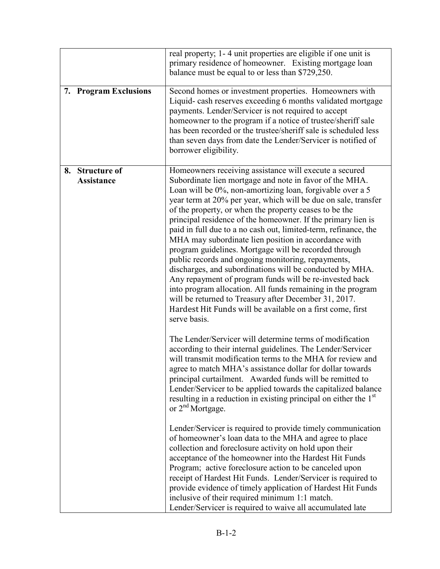|                                                | real property; 1-4 unit properties are eligible if one unit is<br>primary residence of homeowner. Existing mortgage loan<br>balance must be equal to or less than \$729,250.                                                                                                                                                                                                                                                                                                                                                                                                                                                                                                                                                                                                                                                                                                                                                                      |
|------------------------------------------------|---------------------------------------------------------------------------------------------------------------------------------------------------------------------------------------------------------------------------------------------------------------------------------------------------------------------------------------------------------------------------------------------------------------------------------------------------------------------------------------------------------------------------------------------------------------------------------------------------------------------------------------------------------------------------------------------------------------------------------------------------------------------------------------------------------------------------------------------------------------------------------------------------------------------------------------------------|
| <b>Program Exclusions</b><br>7.                | Second homes or investment properties. Homeowners with<br>Liquid- cash reserves exceeding 6 months validated mortgage<br>payments. Lender/Servicer is not required to accept<br>homeowner to the program if a notice of trustee/sheriff sale<br>has been recorded or the trustee/sheriff sale is scheduled less<br>than seven days from date the Lender/Servicer is notified of<br>borrower eligibility.                                                                                                                                                                                                                                                                                                                                                                                                                                                                                                                                          |
| <b>Structure of</b><br>8.<br><b>Assistance</b> | Homeowners receiving assistance will execute a secured<br>Subordinate lien mortgage and note in favor of the MHA.<br>Loan will be 0%, non-amortizing loan, forgivable over a 5<br>year term at 20% per year, which will be due on sale, transfer<br>of the property, or when the property ceases to be the<br>principal residence of the homeowner. If the primary lien is<br>paid in full due to a no cash out, limited-term, refinance, the<br>MHA may subordinate lien position in accordance with<br>program guidelines. Mortgage will be recorded through<br>public records and ongoing monitoring, repayments,<br>discharges, and subordinations will be conducted by MHA.<br>Any repayment of program funds will be re-invested back<br>into program allocation. All funds remaining in the program<br>will be returned to Treasury after December 31, 2017.<br>Hardest Hit Funds will be available on a first come, first<br>serve basis. |
|                                                | The Lender/Servicer will determine terms of modification<br>according to their internal guidelines. The Lender/Servicer<br>will transmit modification terms to the MHA for review and<br>agree to match MHA's assistance dollar for dollar towards<br>principal curtailment. Awarded funds will be remitted to<br>Lender/Servicer to be applied towards the capitalized balance<br>resulting in a reduction in existing principal on either the 1 <sup>st</sup><br>or $2nd$ Mortgage.                                                                                                                                                                                                                                                                                                                                                                                                                                                             |
|                                                | Lender/Servicer is required to provide timely communication<br>of homeowner's loan data to the MHA and agree to place<br>collection and foreclosure activity on hold upon their<br>acceptance of the homeowner into the Hardest Hit Funds<br>Program; active foreclosure action to be canceled upon<br>receipt of Hardest Hit Funds. Lender/Servicer is required to<br>provide evidence of timely application of Hardest Hit Funds<br>inclusive of their required minimum 1:1 match.<br>Lender/Servicer is required to waive all accumulated late                                                                                                                                                                                                                                                                                                                                                                                                 |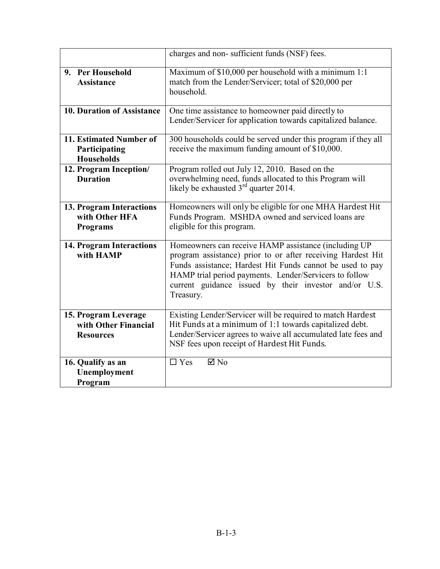|                                                                  | charges and non-sufficient funds (NSF) fees.                                                                                                                                                                                                                                                                     |  |  |
|------------------------------------------------------------------|------------------------------------------------------------------------------------------------------------------------------------------------------------------------------------------------------------------------------------------------------------------------------------------------------------------|--|--|
| 9. Per Household<br><b>Assistance</b>                            | Maximum of \$10,000 per household with a minimum 1:1<br>match from the Lender/Servicer; total of \$20,000 per<br>household.                                                                                                                                                                                      |  |  |
| <b>10. Duration of Assistance</b>                                | One time assistance to homeowner paid directly to<br>Lender/Servicer for application towards capitalized balance.                                                                                                                                                                                                |  |  |
| 11. Estimated Number of<br>Participating<br><b>Households</b>    | 300 households could be served under this program if they all<br>receive the maximum funding amount of \$10,000.                                                                                                                                                                                                 |  |  |
| 12. Program Inception/<br><b>Duration</b>                        | Program rolled out July 12, 2010. Based on the<br>overwhelming need, funds allocated to this Program will<br>likely be exhausted 3 <sup>rd</sup> quarter 2014.                                                                                                                                                   |  |  |
| 13. Program Interactions<br>with Other HFA<br><b>Programs</b>    | Homeowners will only be eligible for one MHA Hardest Hit<br>Funds Program. MSHDA owned and serviced loans are<br>eligible for this program.                                                                                                                                                                      |  |  |
| <b>14. Program Interactions</b><br>with HAMP                     | Homeowners can receive HAMP assistance (including UP<br>program assistance) prior to or after receiving Hardest Hit<br>Funds assistance; Hardest Hit Funds cannot be used to pay<br>HAMP trial period payments. Lender/Servicers to follow<br>current guidance issued by their investor and/or U.S.<br>Treasury. |  |  |
| 15. Program Leverage<br>with Other Financial<br><b>Resources</b> | Existing Lender/Servicer will be required to match Hardest<br>Hit Funds at a minimum of 1:1 towards capitalized debt.<br>Lender/Servicer agrees to waive all accumulated late fees and<br>NSF fees upon receipt of Hardest Hit Funds.                                                                            |  |  |
| 16. Qualify as an<br>Unemployment<br>Program                     | $\overline{\boxtimes N_0}$<br>$\Box$ Yes                                                                                                                                                                                                                                                                         |  |  |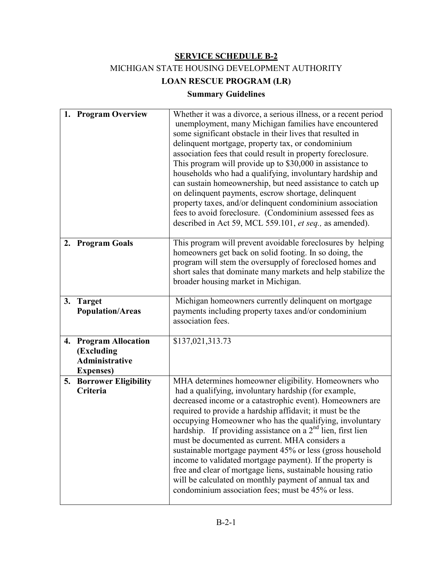MICHIGAN STATE HOUSING DEVELOPMENT AUTHORITY

**LOAN RESCUE PROGRAM (LR)**

# **Summary Guidelines**

|    | 1. Program Overview                                                                   | Whether it was a divorce, a serious illness, or a recent period<br>unemployment, many Michigan families have encountered<br>some significant obstacle in their lives that resulted in<br>delinquent mortgage, property tax, or condominium<br>association fees that could result in property foreclosure.<br>This program will provide up to \$30,000 in assistance to<br>households who had a qualifying, involuntary hardship and<br>can sustain homeownership, but need assistance to catch up<br>on delinquent payments, escrow shortage, delinquent<br>property taxes, and/or delinquent condominium association<br>fees to avoid foreclosure. (Condominium assessed fees as<br>described in Act 59, MCL 559.101, et seq., as amended). |
|----|---------------------------------------------------------------------------------------|----------------------------------------------------------------------------------------------------------------------------------------------------------------------------------------------------------------------------------------------------------------------------------------------------------------------------------------------------------------------------------------------------------------------------------------------------------------------------------------------------------------------------------------------------------------------------------------------------------------------------------------------------------------------------------------------------------------------------------------------|
|    | 2. Program Goals                                                                      | This program will prevent avoidable foreclosures by helping<br>homeowners get back on solid footing. In so doing, the<br>program will stem the oversupply of foreclosed homes and<br>short sales that dominate many markets and help stabilize the<br>broader housing market in Michigan.                                                                                                                                                                                                                                                                                                                                                                                                                                                    |
|    | 3. Target<br><b>Population/Areas</b>                                                  | Michigan homeowners currently delinquent on mortgage<br>payments including property taxes and/or condominium<br>association fees.                                                                                                                                                                                                                                                                                                                                                                                                                                                                                                                                                                                                            |
| 4. | <b>Program Allocation</b><br>(Excluding<br><b>Administrative</b><br><b>Expenses</b> ) | \$137,021,313.73                                                                                                                                                                                                                                                                                                                                                                                                                                                                                                                                                                                                                                                                                                                             |
| 5. | <b>Borrower Eligibility</b><br>Criteria                                               | MHA determines homeowner eligibility. Homeowners who<br>had a qualifying, involuntary hardship (for example,<br>decreased income or a catastrophic event). Homeowners are<br>required to provide a hardship affidavit; it must be the<br>occupying Homeowner who has the qualifying, involuntary<br>hardship. If providing assistance on a 2 <sup>nd</sup> lien, first lien<br>must be documented as current. MHA considers a<br>sustainable mortgage payment 45% or less (gross household<br>income to validated mortgage payment). If the property is<br>free and clear of mortgage liens, sustainable housing ratio<br>will be calculated on monthly payment of annual tax and<br>condominium association fees; must be 45% or less.      |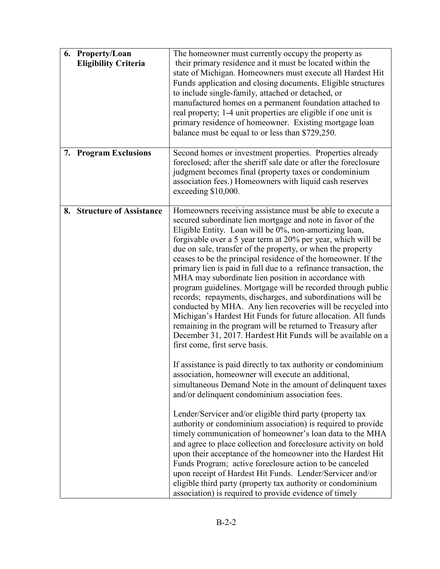| 6. Property/Loan<br><b>Eligibility Criteria</b> | The homeowner must currently occupy the property as<br>their primary residence and it must be located within the<br>state of Michigan. Homeowners must execute all Hardest Hit<br>Funds application and closing documents. Eligible structures<br>to include single-family, attached or detached, or<br>manufactured homes on a permanent foundation attached to<br>real property; 1-4 unit properties are eligible if one unit is<br>primary residence of homeowner. Existing mortgage loan<br>balance must be equal to or less than \$729,250.                                                                                                                                                                                                                                                                                                                                                                                                                                                                                                                                                                                                                                                                                                                                                                                                                                                                                                                                                                                                                                                                                                                                                                                                                 |
|-------------------------------------------------|------------------------------------------------------------------------------------------------------------------------------------------------------------------------------------------------------------------------------------------------------------------------------------------------------------------------------------------------------------------------------------------------------------------------------------------------------------------------------------------------------------------------------------------------------------------------------------------------------------------------------------------------------------------------------------------------------------------------------------------------------------------------------------------------------------------------------------------------------------------------------------------------------------------------------------------------------------------------------------------------------------------------------------------------------------------------------------------------------------------------------------------------------------------------------------------------------------------------------------------------------------------------------------------------------------------------------------------------------------------------------------------------------------------------------------------------------------------------------------------------------------------------------------------------------------------------------------------------------------------------------------------------------------------------------------------------------------------------------------------------------------------|
| 7. Program Exclusions                           | Second homes or investment properties. Properties already<br>foreclosed; after the sheriff sale date or after the foreclosure<br>judgment becomes final (property taxes or condominium<br>association fees.) Homeowners with liquid cash reserves<br>exceeding \$10,000.                                                                                                                                                                                                                                                                                                                                                                                                                                                                                                                                                                                                                                                                                                                                                                                                                                                                                                                                                                                                                                                                                                                                                                                                                                                                                                                                                                                                                                                                                         |
| <b>Structure of Assistance</b><br>8.            | Homeowners receiving assistance must be able to execute a<br>secured subordinate lien mortgage and note in favor of the<br>Eligible Entity. Loan will be 0%, non-amortizing loan,<br>forgivable over a 5 year term at 20% per year, which will be<br>due on sale, transfer of the property, or when the property<br>ceases to be the principal residence of the homeowner. If the<br>primary lien is paid in full due to a refinance transaction, the<br>MHA may subordinate lien position in accordance with<br>program guidelines. Mortgage will be recorded through public<br>records; repayments, discharges, and subordinations will be<br>conducted by MHA. Any lien recoveries will be recycled into<br>Michigan's Hardest Hit Funds for future allocation. All funds<br>remaining in the program will be returned to Treasury after<br>December 31, 2017. Hardest Hit Funds will be available on a<br>first come, first serve basis.<br>If assistance is paid directly to tax authority or condominium<br>association, homeowner will execute an additional,<br>simultaneous Demand Note in the amount of delinquent taxes<br>and/or delinquent condominium association fees.<br>Lender/Servicer and/or eligible third party (property tax<br>authority or condominium association) is required to provide<br>timely communication of homeowner's loan data to the MHA<br>and agree to place collection and foreclosure activity on hold<br>upon their acceptance of the homeowner into the Hardest Hit<br>Funds Program; active foreclosure action to be canceled<br>upon receipt of Hardest Hit Funds. Lender/Servicer and/or<br>eligible third party (property tax authority or condominium<br>association) is required to provide evidence of timely |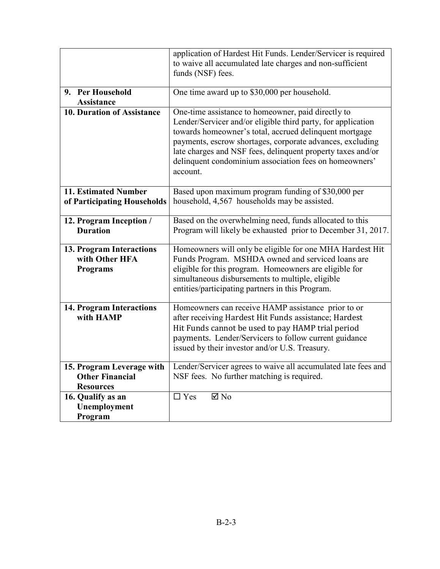|                                                                         | application of Hardest Hit Funds. Lender/Servicer is required<br>to waive all accumulated late charges and non-sufficient<br>funds (NSF) fees.                                                                                                                                                                                                                                 |  |  |
|-------------------------------------------------------------------------|--------------------------------------------------------------------------------------------------------------------------------------------------------------------------------------------------------------------------------------------------------------------------------------------------------------------------------------------------------------------------------|--|--|
| 9. Per Household<br><b>Assistance</b>                                   | One time award up to \$30,000 per household.                                                                                                                                                                                                                                                                                                                                   |  |  |
| 10. Duration of Assistance                                              | One-time assistance to homeowner, paid directly to<br>Lender/Servicer and/or eligible third party, for application<br>towards homeowner's total, accrued delinquent mortgage<br>payments, escrow shortages, corporate advances, excluding<br>late charges and NSF fees, delinquent property taxes and/or<br>delinquent condominium association fees on homeowners'<br>account. |  |  |
| <b>11. Estimated Number</b><br>of Participating Households              | Based upon maximum program funding of \$30,000 per<br>household, 4,567 households may be assisted.                                                                                                                                                                                                                                                                             |  |  |
| 12. Program Inception /<br><b>Duration</b>                              | Based on the overwhelming need, funds allocated to this<br>Program will likely be exhausted prior to December 31, 2017.                                                                                                                                                                                                                                                        |  |  |
| 13. Program Interactions<br>with Other HFA<br>Programs                  | Homeowners will only be eligible for one MHA Hardest Hit<br>Funds Program. MSHDA owned and serviced loans are<br>eligible for this program. Homeowners are eligible for<br>simultaneous disbursements to multiple, eligible<br>entities/participating partners in this Program.                                                                                                |  |  |
| <b>14. Program Interactions</b><br>with HAMP                            | Homeowners can receive HAMP assistance prior to or<br>after receiving Hardest Hit Funds assistance; Hardest<br>Hit Funds cannot be used to pay HAMP trial period<br>payments. Lender/Servicers to follow current guidance<br>issued by their investor and/or U.S. Treasury.                                                                                                    |  |  |
| 15. Program Leverage with<br><b>Other Financial</b><br><b>Resources</b> | Lender/Servicer agrees to waive all accumulated late fees and<br>NSF fees. No further matching is required.                                                                                                                                                                                                                                                                    |  |  |
| 16. Qualify as an<br>Unemployment<br>Program                            | $\Box$ Yes<br>$\boxtimes$ No                                                                                                                                                                                                                                                                                                                                                   |  |  |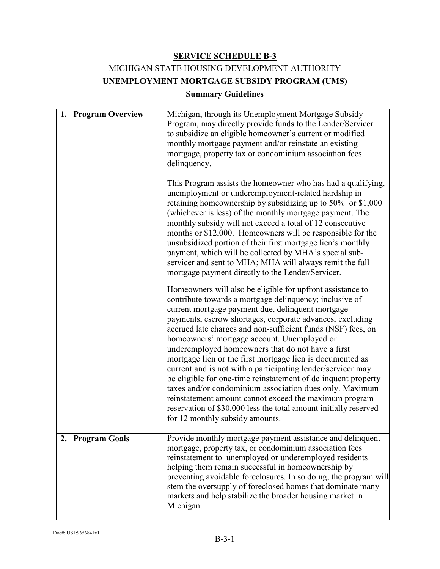# MICHIGAN STATE HOUSING DEVELOPMENT AUTHORITY **UNEMPLOYMENT MORTGAGE SUBSIDY PROGRAM (UMS)**

## **Summary Guidelines**

| 1. Program Overview | Michigan, through its Unemployment Mortgage Subsidy<br>Program, may directly provide funds to the Lender/Servicer<br>to subsidize an eligible homeowner's current or modified<br>monthly mortgage payment and/or reinstate an existing<br>mortgage, property tax or condominium association fees<br>delinquency.<br>This Program assists the homeowner who has had a qualifying,<br>unemployment or underemployment-related hardship in<br>retaining homeownership by subsidizing up to $50\%$ or \$1,000<br>(whichever is less) of the monthly mortgage payment. The<br>monthly subsidy will not exceed a total of 12 consecutive<br>months or \$12,000. Homeowners will be responsible for the                                                                                                                                                                                                                                                                                                                                                                               |
|---------------------|--------------------------------------------------------------------------------------------------------------------------------------------------------------------------------------------------------------------------------------------------------------------------------------------------------------------------------------------------------------------------------------------------------------------------------------------------------------------------------------------------------------------------------------------------------------------------------------------------------------------------------------------------------------------------------------------------------------------------------------------------------------------------------------------------------------------------------------------------------------------------------------------------------------------------------------------------------------------------------------------------------------------------------------------------------------------------------|
|                     | unsubsidized portion of their first mortgage lien's monthly<br>payment, which will be collected by MHA's special sub-<br>servicer and sent to MHA; MHA will always remit the full<br>mortgage payment directly to the Lender/Servicer.<br>Homeowners will also be eligible for upfront assistance to<br>contribute towards a mortgage delinquency; inclusive of<br>current mortgage payment due, delinquent mortgage<br>payments, escrow shortages, corporate advances, excluding<br>accrued late charges and non-sufficient funds (NSF) fees, on<br>homeowners' mortgage account. Unemployed or<br>underemployed homeowners that do not have a first<br>mortgage lien or the first mortgage lien is documented as<br>current and is not with a participating lender/servicer may<br>be eligible for one-time reinstatement of delinquent property<br>taxes and/or condominium association dues only. Maximum<br>reinstatement amount cannot exceed the maximum program<br>reservation of \$30,000 less the total amount initially reserved<br>for 12 monthly subsidy amounts. |
| 2. Program Goals    | Provide monthly mortgage payment assistance and delinquent<br>mortgage, property tax, or condominium association fees<br>reinstatement to unemployed or underemployed residents<br>helping them remain successful in homeownership by<br>preventing avoidable foreclosures. In so doing, the program will<br>stem the oversupply of foreclosed homes that dominate many<br>markets and help stabilize the broader housing market in<br>Michigan.                                                                                                                                                                                                                                                                                                                                                                                                                                                                                                                                                                                                                               |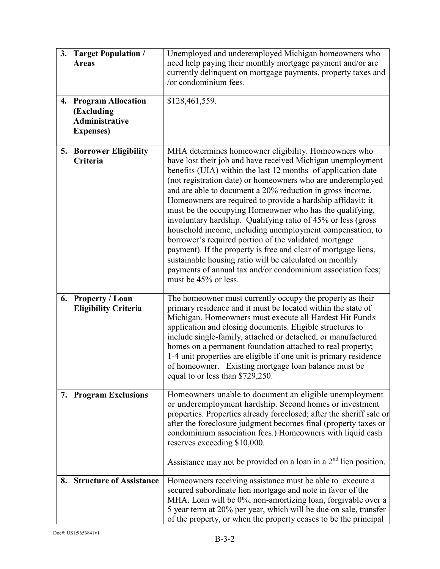| 3. | <b>Target Population /</b><br><b>Areas</b>                                            | Unemployed and underemployed Michigan homeowners who<br>need help paying their monthly mortgage payment and/or are<br>currently delinquent on mortgage payments, property taxes and<br>/or condominium fees.                                                                                                                                                                                                                                                                                                                                                                                                                                                                                                                                                                                                                                        |  |
|----|---------------------------------------------------------------------------------------|-----------------------------------------------------------------------------------------------------------------------------------------------------------------------------------------------------------------------------------------------------------------------------------------------------------------------------------------------------------------------------------------------------------------------------------------------------------------------------------------------------------------------------------------------------------------------------------------------------------------------------------------------------------------------------------------------------------------------------------------------------------------------------------------------------------------------------------------------------|--|
| 4. | <b>Program Allocation</b><br>(Excluding<br><b>Administrative</b><br><b>Expenses</b> ) | \$128,461,559.                                                                                                                                                                                                                                                                                                                                                                                                                                                                                                                                                                                                                                                                                                                                                                                                                                      |  |
|    | 5. Borrower Eligibility<br>Criteria                                                   | MHA determines homeowner eligibility. Homeowners who<br>have lost their job and have received Michigan unemployment<br>benefits (UIA) within the last 12 months of application date<br>(not registration date) or homeowners who are underemployed<br>and are able to document a 20% reduction in gross income.<br>Homeowners are required to provide a hardship affidavit; it<br>must be the occupying Homeowner who has the qualifying,<br>involuntary hardship. Qualifying ratio of 45% or less (gross<br>household income, including unemployment compensation, to<br>borrower's required portion of the validated mortgage<br>payment). If the property is free and clear of mortgage liens,<br>sustainable housing ratio will be calculated on monthly<br>payments of annual tax and/or condominium association fees;<br>must be 45% or less. |  |
|    | 6. Property / Loan<br><b>Eligibility Criteria</b>                                     | The homeowner must currently occupy the property as their<br>primary residence and it must be located within the state of<br>Michigan. Homeowners must execute all Hardest Hit Funds<br>application and closing documents. Eligible structures to<br>include single-family, attached or detached, or manufactured<br>homes on a permanent foundation attached to real property;<br>1-4 unit properties are eligible if one unit is primary residence<br>of homeowner. Existing mortgage loan balance must be<br>equal to or less than \$729,250.                                                                                                                                                                                                                                                                                                    |  |
|    | 7. Program Exclusions                                                                 | Homeowners unable to document an eligible unemployment<br>or underemployment hardship. Second homes or investment<br>properties. Properties already foreclosed; after the sheriff sale or<br>after the foreclosure judgment becomes final (property taxes or<br>condominium association fees.) Homeowners with liquid cash<br>reserves exceeding \$10,000.<br>Assistance may not be provided on a loan in a $2nd$ lien position.                                                                                                                                                                                                                                                                                                                                                                                                                    |  |
| 8. | <b>Structure of Assistance</b>                                                        | Homeowners receiving assistance must be able to execute a<br>secured subordinate lien mortgage and note in favor of the<br>MHA. Loan will be 0%, non-amortizing loan, forgivable over a<br>5 year term at 20% per year, which will be due on sale, transfer<br>of the property, or when the property ceases to be the principal                                                                                                                                                                                                                                                                                                                                                                                                                                                                                                                     |  |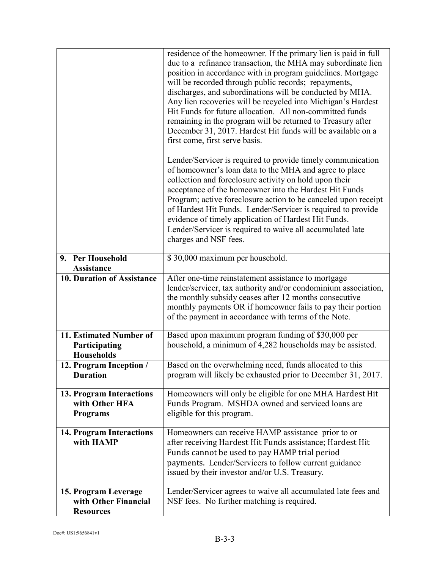|                                                                  | residence of the homeowner. If the primary lien is paid in full<br>due to a refinance transaction, the MHA may subordinate lien<br>position in accordance with in program guidelines. Mortgage<br>will be recorded through public records; repayments,<br>discharges, and subordinations will be conducted by MHA.<br>Any lien recoveries will be recycled into Michigan's Hardest<br>Hit Funds for future allocation. All non-committed funds<br>remaining in the program will be returned to Treasury after<br>December 31, 2017. Hardest Hit funds will be available on a<br>first come, first serve basis. |  |
|------------------------------------------------------------------|----------------------------------------------------------------------------------------------------------------------------------------------------------------------------------------------------------------------------------------------------------------------------------------------------------------------------------------------------------------------------------------------------------------------------------------------------------------------------------------------------------------------------------------------------------------------------------------------------------------|--|
|                                                                  | Lender/Servicer is required to provide timely communication<br>of homeowner's loan data to the MHA and agree to place<br>collection and foreclosure activity on hold upon their<br>acceptance of the homeowner into the Hardest Hit Funds<br>Program; active foreclosure action to be canceled upon receipt<br>of Hardest Hit Funds. Lender/Servicer is required to provide<br>evidence of timely application of Hardest Hit Funds.<br>Lender/Servicer is required to waive all accumulated late<br>charges and NSF fees.                                                                                      |  |
| 9. Per Household<br><b>Assistance</b>                            | \$30,000 maximum per household.                                                                                                                                                                                                                                                                                                                                                                                                                                                                                                                                                                                |  |
| 10. Duration of Assistance                                       | After one-time reinstatement assistance to mortgage<br>lender/servicer, tax authority and/or condominium association,<br>the monthly subsidy ceases after 12 months consecutive<br>monthly payments OR if homeowner fails to pay their portion<br>of the payment in accordance with terms of the Note.                                                                                                                                                                                                                                                                                                         |  |
| 11. Estimated Number of<br>Participating<br><b>Households</b>    | Based upon maximum program funding of \$30,000 per<br>household, a minimum of 4,282 households may be assisted.                                                                                                                                                                                                                                                                                                                                                                                                                                                                                                |  |
| 12. Program Inception /<br><b>Duration</b>                       | Based on the overwhelming need, funds allocated to this<br>program will likely be exhausted prior to December 31, 2017.                                                                                                                                                                                                                                                                                                                                                                                                                                                                                        |  |
| 13. Program Interactions<br>with Other HFA<br><b>Programs</b>    | Homeowners will only be eligible for one MHA Hardest Hit<br>Funds Program. MSHDA owned and serviced loans are<br>eligible for this program.                                                                                                                                                                                                                                                                                                                                                                                                                                                                    |  |
| <b>14. Program Interactions</b><br>with HAMP                     | Homeowners can receive HAMP assistance prior to or<br>after receiving Hardest Hit Funds assistance; Hardest Hit<br>Funds cannot be used to pay HAMP trial period<br>payments. Lender/Servicers to follow current guidance<br>issued by their investor and/or U.S. Treasury.                                                                                                                                                                                                                                                                                                                                    |  |
| 15. Program Leverage<br>with Other Financial<br><b>Resources</b> | Lender/Servicer agrees to waive all accumulated late fees and<br>NSF fees. No further matching is required.                                                                                                                                                                                                                                                                                                                                                                                                                                                                                                    |  |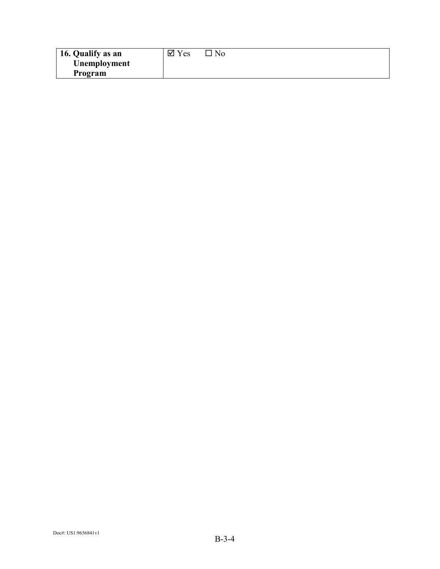| 16. Qualify as an | $\overline{\mathsf{y}}$ Yes | N <sub>0</sub> |
|-------------------|-----------------------------|----------------|
| Unemployment      |                             |                |
| Program           |                             |                |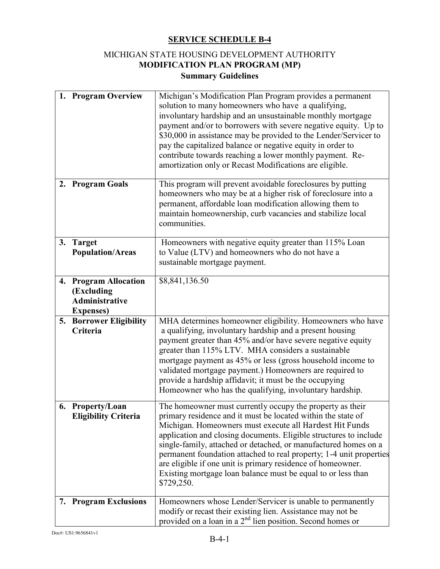# MICHIGAN STATE HOUSING DEVELOPMENT AUTHORITY **MODIFICATION PLAN PROGRAM (MP) Summary Guidelines**

|    | 1. Program Overview                                                                   | Michigan's Modification Plan Program provides a permanent<br>solution to many homeowners who have a qualifying,<br>involuntary hardship and an unsustainable monthly mortgage<br>payment and/or to borrowers with severe negative equity. Up to<br>\$30,000 in assistance may be provided to the Lender/Servicer to<br>pay the capitalized balance or negative equity in order to<br>contribute towards reaching a lower monthly payment. Re-<br>amortization only or Recast Modifications are eligible.                                         |
|----|---------------------------------------------------------------------------------------|--------------------------------------------------------------------------------------------------------------------------------------------------------------------------------------------------------------------------------------------------------------------------------------------------------------------------------------------------------------------------------------------------------------------------------------------------------------------------------------------------------------------------------------------------|
| 2. | <b>Program Goals</b>                                                                  | This program will prevent avoidable foreclosures by putting<br>homeowners who may be at a higher risk of foreclosure into a<br>permanent, affordable loan modification allowing them to<br>maintain homeownership, curb vacancies and stabilize local<br>communities.                                                                                                                                                                                                                                                                            |
| 3. | <b>Target</b><br><b>Population/Areas</b>                                              | Homeowners with negative equity greater than 115% Loan<br>to Value (LTV) and homeowners who do not have a<br>sustainable mortgage payment.                                                                                                                                                                                                                                                                                                                                                                                                       |
| 4. | <b>Program Allocation</b><br>(Excluding<br><b>Administrative</b><br><b>Expenses</b> ) | \$8,841,136.50                                                                                                                                                                                                                                                                                                                                                                                                                                                                                                                                   |
| 5. | <b>Borrower Eligibility</b><br>Criteria                                               | MHA determines homeowner eligibility. Homeowners who have<br>a qualifying, involuntary hardship and a present housing<br>payment greater than 45% and/or have severe negative equity<br>greater than 115% LTV. MHA considers a sustainable<br>mortgage payment as 45% or less (gross household income to<br>validated mortgage payment.) Homeowners are required to<br>provide a hardship affidavit; it must be the occupying<br>Homeowner who has the qualifying, involuntary hardship.                                                         |
|    | 6. Property/Loan<br><b>Eligibility Criteria</b>                                       | The homeowner must currently occupy the property as their<br>primary residence and it must be located within the state of<br>Michigan. Homeowners must execute all Hardest Hit Funds<br>application and closing documents. Eligible structures to include<br>single-family, attached or detached, or manufactured homes on a<br>permanent foundation attached to real property; 1-4 unit properties<br>are eligible if one unit is primary residence of homeowner.<br>Existing mortgage loan balance must be equal to or less than<br>\$729,250. |
| 7. | <b>Program Exclusions</b>                                                             | Homeowners whose Lender/Servicer is unable to permanently<br>modify or recast their existing lien. Assistance may not be<br>provided on a loan in a $2nd$ lien position. Second homes or                                                                                                                                                                                                                                                                                                                                                         |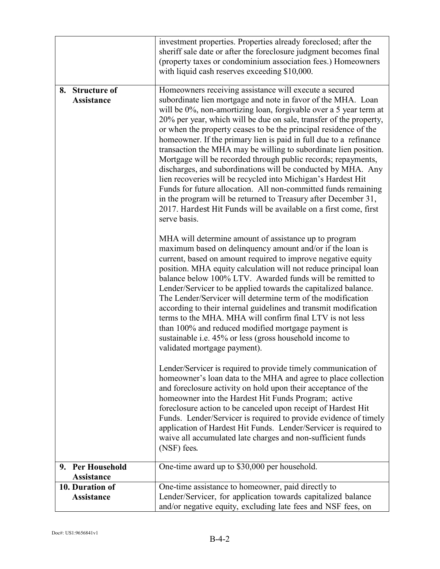|                                                | investment properties. Properties already foreclosed; after the<br>sheriff sale date or after the foreclosure judgment becomes final<br>(property taxes or condominium association fees.) Homeowners<br>with liquid cash reserves exceeding \$10,000.                                                                                                                                                                                                                                                                                                                                                                                                                                                                                                                                                                                                                                                   |
|------------------------------------------------|---------------------------------------------------------------------------------------------------------------------------------------------------------------------------------------------------------------------------------------------------------------------------------------------------------------------------------------------------------------------------------------------------------------------------------------------------------------------------------------------------------------------------------------------------------------------------------------------------------------------------------------------------------------------------------------------------------------------------------------------------------------------------------------------------------------------------------------------------------------------------------------------------------|
| <b>Structure of</b><br>8.<br><b>Assistance</b> | Homeowners receiving assistance will execute a secured<br>subordinate lien mortgage and note in favor of the MHA. Loan<br>will be 0%, non-amortizing loan, forgivable over a 5 year term at<br>20% per year, which will be due on sale, transfer of the property,<br>or when the property ceases to be the principal residence of the<br>homeowner. If the primary lien is paid in full due to a refinance<br>transaction the MHA may be willing to subordinate lien position.<br>Mortgage will be recorded through public records; repayments,<br>discharges, and subordinations will be conducted by MHA. Any<br>lien recoveries will be recycled into Michigan's Hardest Hit<br>Funds for future allocation. All non-committed funds remaining<br>in the program will be returned to Treasury after December 31,<br>2017. Hardest Hit Funds will be available on a first come, first<br>serve basis. |
|                                                | MHA will determine amount of assistance up to program<br>maximum based on delinquency amount and/or if the loan is<br>current, based on amount required to improve negative equity<br>position. MHA equity calculation will not reduce principal loan<br>balance below 100% LTV. Awarded funds will be remitted to<br>Lender/Servicer to be applied towards the capitalized balance.<br>The Lender/Servicer will determine term of the modification<br>according to their internal guidelines and transmit modification<br>terms to the MHA. MHA will confirm final LTV is not less<br>than 100% and reduced modified mortgage payment is<br>sustainable i.e. 45% or less (gross household income to<br>validated mortgage payment).                                                                                                                                                                    |
|                                                | Lender/Servicer is required to provide timely communication of<br>homeowner's loan data to the MHA and agree to place collection<br>and foreclosure activity on hold upon their acceptance of the<br>homeowner into the Hardest Hit Funds Program; active<br>foreclosure action to be canceled upon receipt of Hardest Hit<br>Funds. Lender/Servicer is required to provide evidence of timely<br>application of Hardest Hit Funds. Lender/Servicer is required to<br>waive all accumulated late charges and non-sufficient funds<br>(NSF) fees.                                                                                                                                                                                                                                                                                                                                                        |
| <b>Per Household</b><br>9.<br>Assistance       | One-time award up to \$30,000 per household.                                                                                                                                                                                                                                                                                                                                                                                                                                                                                                                                                                                                                                                                                                                                                                                                                                                            |
| 10. Duration of<br><b>Assistance</b>           | One-time assistance to homeowner, paid directly to<br>Lender/Servicer, for application towards capitalized balance<br>and/or negative equity, excluding late fees and NSF fees, on                                                                                                                                                                                                                                                                                                                                                                                                                                                                                                                                                                                                                                                                                                                      |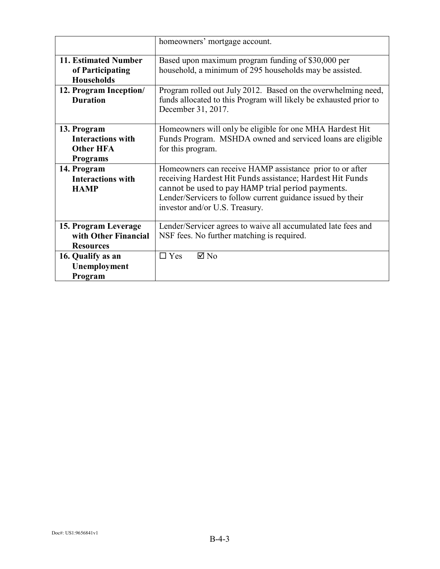|                                                                                | homeowners' mortgage account.                                                                                                                                                                                                                                               |
|--------------------------------------------------------------------------------|-----------------------------------------------------------------------------------------------------------------------------------------------------------------------------------------------------------------------------------------------------------------------------|
| <b>11. Estimated Number</b><br>of Participating<br><b>Households</b>           | Based upon maximum program funding of \$30,000 per<br>household, a minimum of 295 households may be assisted.                                                                                                                                                               |
| 12. Program Inception/<br><b>Duration</b>                                      | Program rolled out July 2012. Based on the overwhelming need,<br>funds allocated to this Program will likely be exhausted prior to<br>December 31, 2017.                                                                                                                    |
| 13. Program<br><b>Interactions with</b><br><b>Other HFA</b><br><b>Programs</b> | Homeowners will only be eligible for one MHA Hardest Hit<br>Funds Program. MSHDA owned and serviced loans are eligible<br>for this program.                                                                                                                                 |
| 14. Program<br><b>Interactions with</b><br><b>HAMP</b>                         | Homeowners can receive HAMP assistance prior to or after<br>receiving Hardest Hit Funds assistance; Hardest Hit Funds<br>cannot be used to pay HAMP trial period payments.<br>Lender/Servicers to follow current guidance issued by their<br>investor and/or U.S. Treasury. |
| 15. Program Leverage<br>with Other Financial<br><b>Resources</b>               | Lender/Servicer agrees to waive all accumulated late fees and<br>NSF fees. No further matching is required.                                                                                                                                                                 |
| 16. Qualify as an<br>Unemployment<br>Program                                   | $\Box$ Yes<br>$\boxtimes$ No                                                                                                                                                                                                                                                |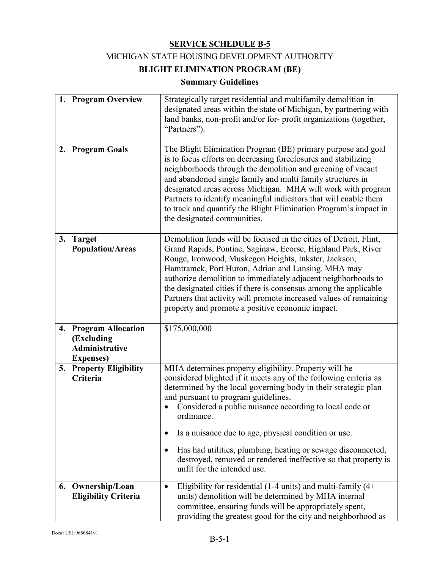## MICHIGAN STATE HOUSING DEVELOPMENT AUTHORITY

# **BLIGHT ELIMINATION PROGRAM (BE)**

# **Summary Guidelines**

|    | 1. Program Overview                                                               | Strategically target residential and multifamily demolition in<br>designated areas within the state of Michigan, by partnering with<br>land banks, non-profit and/or for-profit organizations (together,<br>"Partners").                                                                                                                                                                                                                                                                                        |
|----|-----------------------------------------------------------------------------------|-----------------------------------------------------------------------------------------------------------------------------------------------------------------------------------------------------------------------------------------------------------------------------------------------------------------------------------------------------------------------------------------------------------------------------------------------------------------------------------------------------------------|
|    | 2. Program Goals                                                                  | The Blight Elimination Program (BE) primary purpose and goal<br>is to focus efforts on decreasing foreclosures and stabilizing<br>neighborhoods through the demolition and greening of vacant<br>and abandoned single family and multi family structures in<br>designated areas across Michigan. MHA will work with program<br>Partners to identify meaningful indicators that will enable them<br>to track and quantify the Blight Elimination Program's impact in<br>the designated communities.              |
|    | 3. Target<br><b>Population/Areas</b>                                              | Demolition funds will be focused in the cities of Detroit, Flint,<br>Grand Rapids, Pontiac, Saginaw, Ecorse, Highland Park, River<br>Rouge, Ironwood, Muskegon Heights, Inkster, Jackson,<br>Hamtramck, Port Huron, Adrian and Lansing. MHA may<br>authorize demolition to immediately adjacent neighborhoods to<br>the designated cities if there is consensus among the applicable<br>Partners that activity will promote increased values of remaining<br>property and promote a positive economic impact.   |
|    | 4. Program Allocation<br>(Excluding<br><b>Administrative</b><br><b>Expenses</b> ) | \$175,000,000                                                                                                                                                                                                                                                                                                                                                                                                                                                                                                   |
|    | 5. Property Eligibility<br>Criteria                                               | MHA determines property eligibility. Property will be<br>considered blighted if it meets any of the following criteria as<br>determined by the local governing body in their strategic plan<br>and pursuant to program guidelines.<br>Considered a public nuisance according to local code or<br>ordinance.<br>Is a nuisance due to age, physical condition or use.<br>٠<br>Has had utilities, plumbing, heating or sewage disconnected,<br>٠<br>destroyed, removed or rendered ineffective so that property is |
|    |                                                                                   | unfit for the intended use.                                                                                                                                                                                                                                                                                                                                                                                                                                                                                     |
| 6. | Ownership/Loan<br><b>Eligibility Criteria</b>                                     | Eligibility for residential (1-4 units) and multi-family $(4+)$<br>$\bullet$<br>units) demolition will be determined by MHA internal<br>committee, ensuring funds will be appropriately spent,<br>providing the greatest good for the city and neighborhood as                                                                                                                                                                                                                                                  |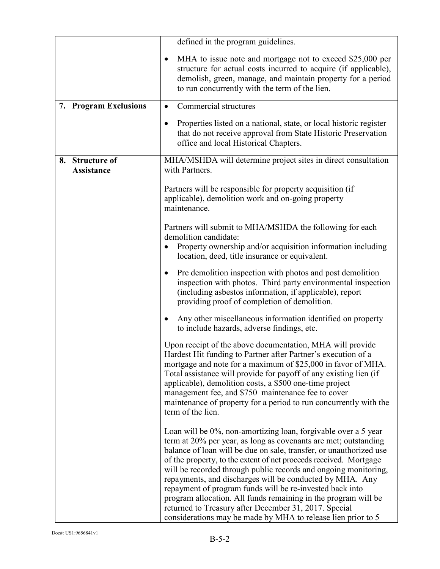|                                      | defined in the program guidelines.                                                                                                                                                                                                                                                                                                                                                                                                                                                                                                                                                                                                                                 |  |
|--------------------------------------|--------------------------------------------------------------------------------------------------------------------------------------------------------------------------------------------------------------------------------------------------------------------------------------------------------------------------------------------------------------------------------------------------------------------------------------------------------------------------------------------------------------------------------------------------------------------------------------------------------------------------------------------------------------------|--|
|                                      | MHA to issue note and mortgage not to exceed \$25,000 per<br>structure for actual costs incurred to acquire (if applicable),<br>demolish, green, manage, and maintain property for a period<br>to run concurrently with the term of the lien.                                                                                                                                                                                                                                                                                                                                                                                                                      |  |
| 7. Program Exclusions                | Commercial structures<br>$\bullet$                                                                                                                                                                                                                                                                                                                                                                                                                                                                                                                                                                                                                                 |  |
|                                      | Properties listed on a national, state, or local historic register<br>that do not receive approval from State Historic Preservation<br>office and local Historical Chapters.                                                                                                                                                                                                                                                                                                                                                                                                                                                                                       |  |
| 8. Structure of<br><b>Assistance</b> | MHA/MSHDA will determine project sites in direct consultation<br>with Partners.                                                                                                                                                                                                                                                                                                                                                                                                                                                                                                                                                                                    |  |
|                                      | Partners will be responsible for property acquisition (if<br>applicable), demolition work and on-going property<br>maintenance.                                                                                                                                                                                                                                                                                                                                                                                                                                                                                                                                    |  |
|                                      | Partners will submit to MHA/MSHDA the following for each<br>demolition candidate:<br>Property ownership and/or acquisition information including<br>location, deed, title insurance or equivalent.                                                                                                                                                                                                                                                                                                                                                                                                                                                                 |  |
|                                      | Pre demolition inspection with photos and post demolition<br>$\bullet$<br>inspection with photos. Third party environmental inspection<br>(including asbestos information, if applicable), report<br>providing proof of completion of demolition.                                                                                                                                                                                                                                                                                                                                                                                                                  |  |
|                                      | Any other miscellaneous information identified on property<br>to include hazards, adverse findings, etc.                                                                                                                                                                                                                                                                                                                                                                                                                                                                                                                                                           |  |
|                                      | Upon receipt of the above documentation, MHA will provide<br>Hardest Hit funding to Partner after Partner's execution of a<br>mortgage and note for a maximum of \$25,000 in favor of MHA.<br>Total assistance will provide for payoff of any existing lien (if<br>applicable), demolition costs, a \$500 one-time project<br>management fee, and \$750 maintenance fee to cover<br>maintenance of property for a period to run concurrently with the<br>term of the lien.                                                                                                                                                                                         |  |
|                                      | Loan will be 0%, non-amortizing loan, forgivable over a 5 year<br>term at 20% per year, as long as covenants are met; outstanding<br>balance of loan will be due on sale, transfer, or unauthorized use<br>of the property, to the extent of net proceeds received. Mortgage<br>will be recorded through public records and ongoing monitoring,<br>repayments, and discharges will be conducted by MHA. Any<br>repayment of program funds will be re-invested back into<br>program allocation. All funds remaining in the program will be<br>returned to Treasury after December 31, 2017. Special<br>considerations may be made by MHA to release lien prior to 5 |  |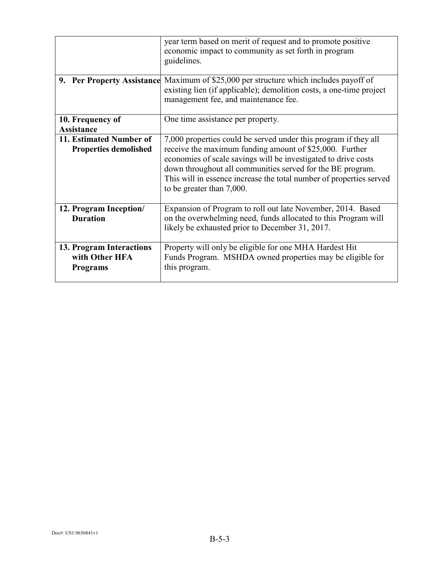|                                                               | year term based on merit of request and to promote positive<br>economic impact to community as set forth in program<br>guidelines.                                                                                                                                                                                                                             |  |
|---------------------------------------------------------------|----------------------------------------------------------------------------------------------------------------------------------------------------------------------------------------------------------------------------------------------------------------------------------------------------------------------------------------------------------------|--|
|                                                               | <b>9. Per Property Assistance</b> Maximum of \$25,000 per structure which includes payoff of<br>existing lien (if applicable); demolition costs, a one-time project<br>management fee, and maintenance fee.                                                                                                                                                    |  |
| 10. Frequency of<br><b>Assistance</b>                         | One time assistance per property.                                                                                                                                                                                                                                                                                                                              |  |
| 11. Estimated Number of<br><b>Properties demolished</b>       | 7,000 properties could be served under this program if they all<br>receive the maximum funding amount of \$25,000. Further<br>economies of scale savings will be investigated to drive costs<br>down throughout all communities served for the BE program.<br>This will in essence increase the total number of properties served<br>to be greater than 7,000. |  |
| 12. Program Inception/<br><b>Duration</b>                     | Expansion of Program to roll out late November, 2014. Based<br>on the overwhelming need, funds allocated to this Program will<br>likely be exhausted prior to December 31, 2017.                                                                                                                                                                               |  |
| 13. Program Interactions<br>with Other HFA<br><b>Programs</b> | Property will only be eligible for one MHA Hardest Hit<br>Funds Program. MSHDA owned properties may be eligible for<br>this program.                                                                                                                                                                                                                           |  |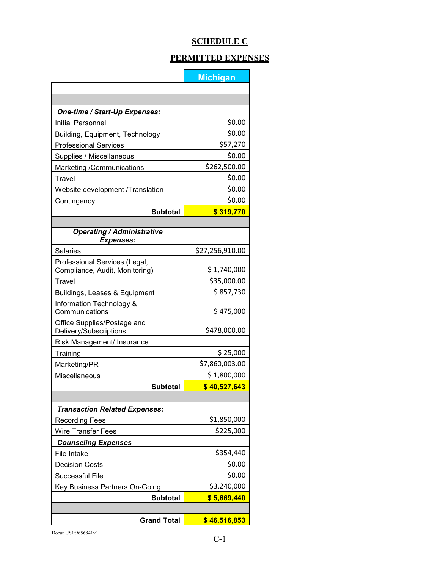# **SCHEDULE C**

# **PERMITTED EXPENSES**

|                                                                 | <b>Michigan</b> |
|-----------------------------------------------------------------|-----------------|
|                                                                 |                 |
|                                                                 |                 |
| <b>One-time / Start-Up Expenses:</b>                            |                 |
| <b>Initial Personnel</b>                                        | \$0.00          |
| Building, Equipment, Technology                                 | \$0.00          |
| <b>Professional Services</b>                                    | \$57,270        |
| Supplies / Miscellaneous                                        | \$0.00          |
| Marketing /Communications                                       | \$262,500.00    |
| Travel                                                          | \$0.00          |
| Website development /Translation                                | \$0.00          |
| Contingency                                                     | \$0.00          |
| <b>Subtotal</b>                                                 | \$319,770       |
|                                                                 |                 |
| <b>Operating / Administrative</b><br><b>Expenses:</b>           |                 |
| <b>Salaries</b>                                                 | \$27,256,910.00 |
| Professional Services (Legal,<br>Compliance, Audit, Monitoring) | \$1,740,000     |
| Travel                                                          | \$35,000.00     |
| Buildings, Leases & Equipment                                   | \$857,730       |
| Information Technology &<br>Communications                      | \$475,000       |
| Office Supplies/Postage and<br>Delivery/Subscriptions           | \$478,000.00    |
| Risk Management/ Insurance                                      |                 |
| Training                                                        | \$25,000        |
| Marketing/PR                                                    | \$7,860,003.00  |
| Miscellaneous                                                   | \$1,800,000     |
| <b>Subtotal</b>                                                 | \$40,527,643    |
|                                                                 |                 |
| <b>Transaction Related Expenses:</b>                            |                 |
| <b>Recording Fees</b>                                           | \$1,850,000     |
| <b>Wire Transfer Fees</b>                                       | \$225,000       |
| <b>Counseling Expenses</b>                                      |                 |
| File Intake                                                     | \$354,440       |
| <b>Decision Costs</b>                                           | \$0.00          |
| Successful File                                                 | \$0.00          |
| Key Business Partners On-Going                                  | \$3,240,000     |
| <b>Subtotal</b>                                                 | \$5,669,440     |
|                                                                 |                 |
|                                                                 |                 |
| <b>Grand Total</b>                                              | \$46,516,853    |